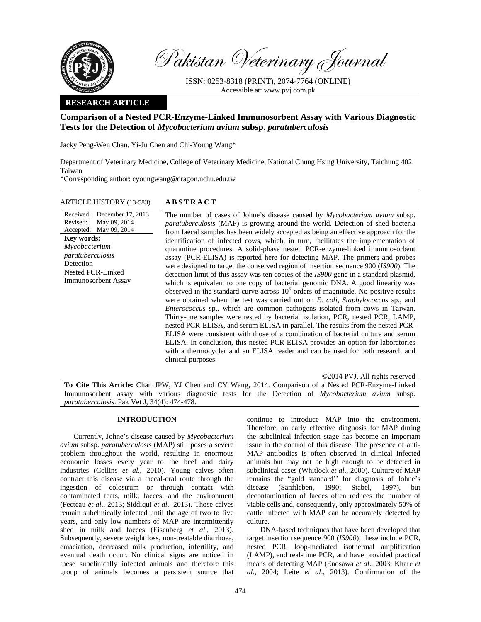

Pakistan Veterinary Journal

ISSN: 0253-8318 (PRINT), 2074-7764 (ONLINE) Accessible at: www.pvj.com.pk

## **RESEARCH ARTICLE**

# **Comparison of a Nested PCR-Enzyme-Linked Immunosorbent Assay with Various Diagnostic Tests for the Detection of** *Mycobacterium avium* **subsp.** *paratuberculosis*

Jacky Peng-Wen Chan, Yi-Ju Chen and Chi-Young Wang\*

Department of Veterinary Medicine, College of Veterinary Medicine, National Chung Hsing University, Taichung 402, Taiwan

\*Corresponding author: cyoungwang@dragon.nchu.edu.tw

## ARTICLE HISTORY (13-583) **ABSTRACT**

Received: December 17, 2013 Revised: Accepted: May 09, 2014 May 09, 2014 **Key words:**  *Mycobacterium paratuberculosis*  Detection Nested PCR-Linked Immunosorbent Assay

 The number of cases of Johne's disease caused by *Mycobacterium avium* subsp. *paratuberculosis* (MAP) is growing around the world. Detection of shed bacteria from faecal samples has been widely accepted as being an effective approach for the identification of infected cows, which, in turn, facilitates the implementation of quarantine procedures. A solid-phase nested PCR-enzyme-linked immunosorbent assay (PCR-ELISA) is reported here for detecting MAP. The primers and probes were designed to target the conserved region of insertion sequence 900 (*IS900*). The detection limit of this assay was ten copies of the *IS900* gene in a standard plasmid, which is equivalent to one copy of bacterial genomic DNA. A good linearity was observed in the standard curve across  $10<sup>5</sup>$  orders of magnitude. No positive results were obtained when the test was carried out on *E. coli*, *Staphylococcus* sp., and *Enterococcus* sp., which are common pathogens isolated from cows in Taiwan. Thirty-one samples were tested by bacterial isolation, PCR, nested PCR, LAMP, nested PCR-ELISA, and serum ELISA in parallel. The results from the nested PCR-ELISA were consistent with those of a combination of bacterial culture and serum ELISA. In conclusion, this nested PCR-ELISA provides an option for laboratories with a thermocycler and an ELISA reader and can be used for both research and clinical purposes.

©2014 PVJ. All rights reserved

**To Cite This Article:** Chan JPW, YJ Chen and CY Wang, 2014. Comparison of a Nested PCR-Enzyme-Linked Immunosorbent assay with various diagnostic tests for the Detection of *Mycobacterium avium* subsp. *paratuberculosis*. Pak Vet J, 34(4): 474-478.

## **INTRODUCTION**

Currently, Johne's disease caused by *Mycobacterium avium* subsp. *paratuberculosis* (MAP) still poses a severe problem throughout the world, resulting in enormous economic losses every year to the beef and dairy industries (Collins *et al.*, 2010). Young calves often contract this disease via a faecal-oral route through the ingestion of colostrum or through contact with contaminated teats, milk, faeces, and the environment (Fecteau *et al*., 2013; Siddiqui *et al*., 2013). Those calves remain subclinically infected until the age of two to five years, and only low numbers of MAP are intermittently shed in milk and faeces (Eisenberg *et al*., 2013). Subsequently, severe weight loss, non-treatable diarrhoea, emaciation, decreased milk production, infertility, and eventual death occur. No clinical signs are noticed in these subclinically infected animals and therefore this group of animals becomes a persistent source that

continue to introduce MAP into the environment. Therefore, an early effective diagnosis for MAP during the subclinical infection stage has become an important issue in the control of this disease. The presence of anti-MAP antibodies is often observed in clinical infected animals but may not be high enough to be detected in subclinical cases (Whitlock *et al*., 2000). Culture of MAP remains the "gold standard'' for diagnosis of Johne's disease (Sanftleben, 1990; Stabel, 1997), but decontamination of faeces often reduces the number of viable cells and, consequently, only approximately 50% of cattle infected with MAP can be accurately detected by culture.

DNA-based techniques that have been developed that target insertion sequence 900 (*IS900*); these include PCR, nested PCR, loop-mediated isothermal amplification (LAMP), and real-time PCR, and have provided practical means of detecting MAP (Enosawa *et al*., 2003; Khare *et al*., 2004; Leite *et al*., 2013). Confirmation of the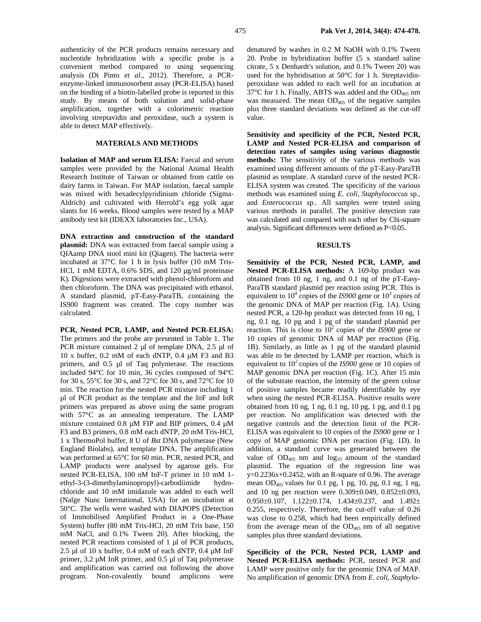authenticity of the PCR products remains necessary and nucleotide hybridization with a specific probe is a convenient method compared to using sequencing analysis (Di Pinto *et al*., 2012). Therefore, a PCRenzyme-linked immunosorbent assay (PCR-ELISA) based on the binding of a biotin-labelled probe is reported in this study. By means of both solution and solid-phase amplification, together with a colorimetric reaction involving streptavidin and peroxidase, such a system is able to detect MAP effectively.

### **MATERIALS AND METHODS**

**Isolation of MAP and serum ELISA:** Faecal and serum samples were provided by the National Animal Health Research Institute of Taiwan or obtained from cattle on dairy farms in Taiwan. For MAP isolation, faecal sample was mixed with hexadecylpyridinium chloride (Sigma-Aldrich) and cultivated with Herrold's egg yolk agar slants for 16 weeks. Blood samples were tested by a MAP antibody test kit (IDEXX laboratories Inc., USA).

**DNA extraction and construction of the standard plasmid:** DNA was extracted from faecal sample using a QIAamp DNA stool mini kit (Qiagen). The bacteria were incubated at 37°C for 1 h in lysis buffer (10 mM Tris-HCl, 1 mM EDTA, 0.6% SDS, and 120 µg/ml proteinase K). Digestions were extracted with phenol-chloroform and then chloroform. The DNA was precipitated with ethanol. A standard plasmid, pT-Easy-ParaTB, containing the IS900 fragment was created. The copy number was calculated.

**PCR, Nested PCR, LAMP, and Nested PCR-ELISA:** The primers and the probe are presented in Table 1. The PCR mixture contained 2 µl of template DNA, 2.5 µl of 10 x buffer, 0.2 mM of each dNTP, 0.4 µM F3 and B3 primers, and 0.5 µl of Taq polymerase. The reactions included 94°C for 10 min, 36 cycles composed of 94°C for 30 s, 55°C for 30 s, and 72°C for 30 s, and 72°C for 10 min. The reaction for the nested PCR mixture including 1 µl of PCR product as the template and the InF and InR primers was prepared as above using the same program with 57°C as an annealing temperature. The LAMP mixture contained 0.8 µM FIP and BIP primers, 0.4 µM F3 and B3 primers, 0.8 mM each dNTP, 20 mM Tris-HCl, 1 x ThermoPol buffer, 8 U of *Bst* DNA polymerase (New England Biolabs), and template DNA. The amplification was performed at 65°C for 60 min. PCR, nested PCR, and LAMP products were analysed by agarose gels. For nested PCR-ELISA, 100 nM InF-T primer in 10 mM 1 ethyl-3-(3-dimethylaminopropyl)-carbodiimide hydrochloride and 10 mM imidazole was added to each well (Nalge Nunc International, USA) for an incubation at 50°C. The wells were washed with DIAPOPS (Detection of Immobilised Amplified Product in a One-Phase System) buffer (80 mM Tris-HCl, 20 mM Tris base, 150 mM NaCl, and 0.1% Tween 20). After blocking, the nested PCR reactions consisted of 1 µl of PCR products, 2.5 µl of 10 x buffer, 0.4 mM of each dNTP, 0.4  $\mu$ M InF primer, 3.2 µM InR primer, and 0.5 µl of Taq polymerase and amplification was carried out following the above program. Non-covalently bound amplicons were

denatured by washes in 0.2 M NaOH with 0.1% Tween 20. Probe in hybridization buffer (5 x standard saline citrate, 5 x Denhardt's solution, and 0.1% Tween 20) was used for the hybridisation at 50°C for 1 h. Streptavidinperoxidase was added to each well for an incubation at  $37^{\circ}$ C for 1 h. Finally, ABTS was added and the OD<sub>405</sub> nm was measured. The mean  $OD<sub>405</sub>$  of the negative samples plus three standard deviations was defined as the cut-off value.

**Sensitivity and specificity of the PCR, Nested PCR, LAMP and Nested PCR-ELISA and comparison of detection rates of samples using various diagnostic methods:** The sensitivity of the various methods was examined using different amounts of the pT-Easy-ParaTB plasmid as template. A standard curve of the nested PCR-ELISA system was created. The specificity of the various methods was examined using *E. coli*, *Staphylococcus* sp., and *Enterococcus* sp.. All samples were tested using various methods in parallel. The positive detection rate was calculated and compared with each other by Chi-square analysis. Significant differences were defined as P<0.05.

### **RESULTS**

**Sensitivity of the PCR, Nested PCR, LAMP, and Nested PCR-ELISA methods:** A 169-bp product was obtained from 10 ng, 1 ng, and 0.1 ng of the pT-Easy-ParaTB standard plasmid per reaction using PCR. This is equivalent to  $10^4$  copies of the *IS900* gene or  $10^3$  copies of the genomic DNA of MAP per reaction (Fig. 1A). Using nested PCR, a 120-bp product was detected from 10 ng, 1 ng, 0.1 ng, 10 pg and 1 pg of the standard plasmid per reaction. This is close to  $10^2$  copies of the *IS900* gene or 10 copies of genomic DNA of MAP per reaction (Fig. 1B). Similarly, as little as 1 pg of the standard plasmid was able to be detected by LAMP per reaction, which is equivalent to 10<sup>2</sup> copies of the *IS900* gene or 10 copies of MAP genomic DNA per reaction (Fig. 1C). After 15 min of the substrate reaction, the intensity of the green colour of positive samples became readily identifiable by eye when using the nested PCR-ELISA. Positive results were obtained from 10 ng, 1 ng, 0.1 ng, 10 pg, 1 pg, and 0.1 pg per reaction. No amplification was detected with the negative controls and the detection limit of the PCR-ELISA was equivalent to 10 copies of the *IS900* gene or 1 copy of MAP genomic DNA per reaction (Fig. 1D). In addition, a standard curve was generated between the value of  $OD<sub>405</sub>$  nm and  $log<sub>10</sub>$  amount of the standard plasmid. The equation of the regression line was  $y=0.2236x+0.2452$ , with an R-square of 0.96. The average mean  $OD_{405}$  values for 0.1 pg, 1 pg, 10, pg, 0.1 ng, 1 ng, and 10 ng per reaction were 0.309±0.049, 0.852±0.093, 0.950±0.107, 1.122±0.174, 1.434±0.237, and 1.492± 0.255, respectively. Therefore, the cut-off value of 0.26 was close to 0.258, which had been empirically defined from the average mean of the  $OD<sub>405</sub>$  nm of all negative samples plus three standard deviations.

**Specificity of the PCR, Nested PCR, LAMP and Nested PCR-ELISA methods:** PCR, nested PCR and LAMP were positive only for the genomic DNA of MAP. No amplification of genomic DNA from *E. coli*, *Staphylo-*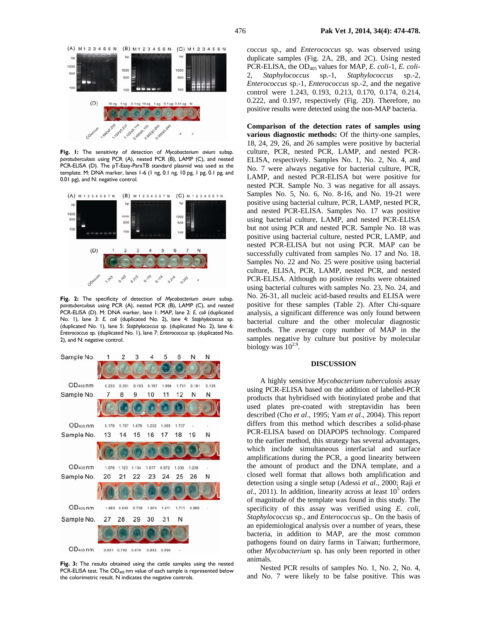

**Fig. 1:** The sensitivity of detection of *Mycobacterium avium* subsp. *paratuberculosis* using PCR (A), nested PCR (B), LAMP (C), and nested PCR-ELISA (D). The pT-Easy-ParaTB standard plasmid was used as the template. M: DNA marker, lanes 1-6 (1 ng, 0.1 ng, 10 pg, 1 pg, 0.1 pg, and 0.01 pg), and N: negative control.



**Fig. 2:** The specificity of detection of *Mycobacterium avium* subsp. *paratuberculosis* using PCR (A), nested PCR (B), LAMP (C), and nested PCR-ELISA (D). M: DNA marker, lane 1: MAP, lane 2: *E. coli* (duplicated No. 1), lane 3: *E. coli* (duplicated No. 2), lane 4: *Staphylococcus* sp. (duplicated No. 1), lane 5: *Staphylococcus* sp. (duplicated No. 2), lane 6: *Enterococcus* sp. (duplicated No. 1), lane 7: *Enterococcus* sp. (duplicated No. 2), and N: negative control.



**Fig. 3:** The results obtained using the cattle samples using the nested PCR-ELISA test. The OD<sub>405</sub> nm value of each sample is represented below the colorimetric result. N indicates the negative controls.

*coccus* sp., and *Enterococcus* sp. was observed using duplicate samples (Fig. 2A, 2B, and 2C). Using nested PCR-ELISA, the OD405 values for MAP, *E. coli*-1, *E. coli*-2, *Staphylococcus* sp.-1, *Staphylococcus* sp.-2, *Enterococcus* sp.-1, *Enterococcus* sp.-2, and the negative control were 1.243, 0.193, 0.213, 0.170, 0.174, 0.214, 0.222, and 0.197, respectively (Fig. 2D). Therefore, no positive results were detected using the non-MAP bacteria.

**Comparison of the detection rates of samples using various diagnostic methods:** Of the thirty-one samples, 18, 24, 29, 26, and 26 samples were positive by bacterial culture, PCR, nested PCR, LAMP, and nested PCR-ELISA, respectively. Samples No. 1, No. 2, No. 4, and No. 7 were always negative for bacterial culture, PCR, LAMP, and nested PCR-ELISA but were positive for nested PCR. Sample No. 3 was negative for all assays. Samples No. 5, No. 6, No. 8-16, and No. 19-21 were positive using bacterial culture, PCR, LAMP, nested PCR, and nested PCR-ELISA. Samples No. 17 was positive using bacterial culture, LAMP, and nested PCR-ELISA but not using PCR and nested PCR. Sample No. 18 was positive using bacterial culture, nested PCR, LAMP, and nested PCR-ELISA but not using PCR. MAP can be successfully cultivated from samples No. 17 and No. 18. Samples No. 22 and No. 25 were positive using bacterial culture, ELISA, PCR, LAMP, nested PCR, and nested PCR-ELISA. Although no positive results were obtained using bacterial cultures with samples No. 23, No. 24, and No. 26-31, all nucleic acid-based results and ELISA were positive for these samples (Table 2). After Chi-square analysis, a significant difference was only found between bacterial culture and the other molecular diagnostic methods. The average copy number of MAP in the samples negative by culture but positive by molecular biology was  $10^{2.9}$ .

#### **DISCUSSION**

A highly sensitive *Mycobacterium tuberculosis* assay using PCR-ELISA based on the addition of labelled-PCR products that hybridised with biotinylated probe and that used plates pre-coated with streptavidin has been described (Cho *et al*., 1995; Yam *et al*., 2004). This report differs from this method which describes a solid-phase PCR-ELISA based on DIAPOPS technology. Compared to the earlier method, this strategy has several advantages, which include simultaneous interfacial and surface amplifications during the PCR, a good linearity between the amount of product and the DNA template, and a closed well format that allows both amplification and detection using a single setup (Adessi *et al*., 2000; Raji *et*   $al$ , 2011). In addition, linearity across at least  $10<sup>5</sup>$  orders of magnitude of the template was found in this study. The specificity of this assay was verified using *E. coli*, *Staphylococcus* sp., and *Enterococcus* sp.. On the basis of an epidemiological analysis over a number of years, these bacteria, in addition to MAP, are the most common pathogens found on dairy farms in Taiwan; furthermore, other *Mycobacterium* sp. has only been reported in other animals.

Nested PCR results of samples No. 1, No. 2, No. 4, and No. 7 were likely to be false positive. This was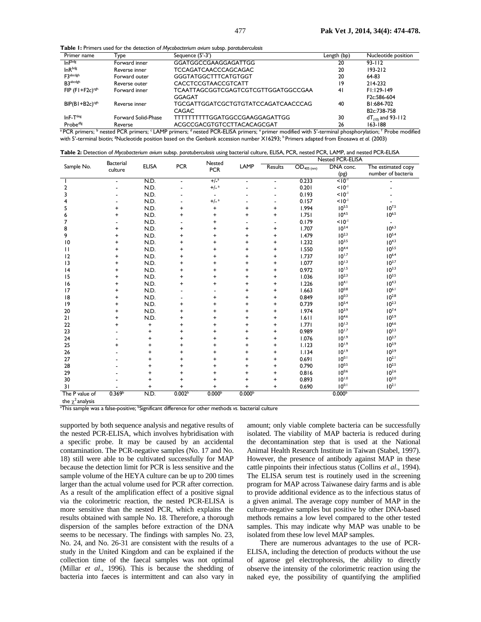**Table 1:** Primers used for the detection of *Mycobacterium avium* subsp. *paratuberculosis* 

| Primer name                   | Type                | Sequence (5'-3')                    |    | Nucleotide position      |  |
|-------------------------------|---------------------|-------------------------------------|----|--------------------------|--|
| $In F$ <sub>bdg</sub>         | Forward inner       | GGATGGCCGAAGGAGATTGG                | 20 | $93 - 112$               |  |
| $InR^{bdg}$                   | Reverse inner       | <b>TCCAGATCAACCCAGCAGAC</b>         | 20 | $193 - 212$              |  |
| F3abcdgh                      | Forward outer       | <b>GGGTATGGCTTTCATGTGGT</b>         | 20 | 64-83                    |  |
| <b>B3abcdgh</b>               | Reverse outer       | <b>CACCTCCGTAACCGTCATT</b>          | 19 | 214-232                  |  |
| $FIP$ (F1+F2c) <sup>cgh</sup> | Forward inner       | TCAATTAGCGGTCGAGTCGTCGTTGGATGGCCGAA | 41 | $FI:129-149$             |  |
|                               |                     | GGAGAT                              |    | F <sub>2c</sub> :586-604 |  |
| $BIP(BI+B2c)^{cgh}$           | Reverse inner       | TGCGATTGGATCGCTGTGTATCCAGATCAACCCAG | 40 | BI:684-702               |  |
|                               |                     | CAGAC                               |    | B <sub>2c</sub> :738-758 |  |
| $InF-Tdeg$                    | Forward Solid-Phase | TTTTTTTTTGGATGGCCGAAGGAGATTGG       | 30 | $dT_{(10)}$ and 93-112   |  |
| Probe <sup>dfg</sup>          | Reverse             | ACGCCGACGTGTCCTTACACAGCGAT          | 26 | 163-188                  |  |

with 5'-terminal biotin; <sup>g</sup>Nucleotide position based on the Genbank accession number X16293; <sup>h</sup> Primers adapted from Enosawa *et al.* (2003)

| Table 2: Detection of Mycobacterium avium subsp. paratuberculosis using bacterial culture, ELISA, PCR, nested PCR, LAMP, and nested PCR-ELISA |  |  |  |
|-----------------------------------------------------------------------------------------------------------------------------------------------|--|--|--|
|-----------------------------------------------------------------------------------------------------------------------------------------------|--|--|--|

| Sample No.        | <b>Bacterial</b><br>culture | <b>ELISA</b> | <b>PCR</b>         | Nested<br><b>PCR</b>     | LAMP               | Nested PCR-ELISA                 |                              |                    |                          |
|-------------------|-----------------------------|--------------|--------------------|--------------------------|--------------------|----------------------------------|------------------------------|--------------------|--------------------------|
|                   |                             |              |                    |                          |                    | <b>Results</b>                   | $\overline{OD_{405}}_{(nm)}$ | DNA conc.          | The estimated copy       |
|                   |                             |              |                    |                          |                    |                                  |                              | (pg)               | number of bacteria       |
|                   | $\blacksquare$              | N.D.         | $\blacksquare$     | $+/-a$                   | $\blacksquare$     | $\blacksquare$                   | 0.233                        | $10^{-1}$          |                          |
| 2                 |                             | N.D.         |                    | $+/-a$                   |                    |                                  | 0.201                        | $10^{-1}$          |                          |
| 3                 |                             | N.D.         |                    | $\overline{\phantom{a}}$ |                    |                                  | 0.193                        | $< 10^{-1}$        |                          |
| 4                 |                             | N.D.         |                    | $+/- ^{a}$               |                    | $\blacksquare$                   | 0.157                        | $10^{-1}$          |                          |
| 5                 | $\ddot{}$                   | N.D.         | +                  | $\ddot{}$                | +                  | $\ddot{}$                        | 1.994                        | $10^{5.5}$         | $10^{7.5}$               |
| 6                 | $\ddot{}$                   | N.D.         | $\ddot{}$          | $\ddot{}$                | $\ddot{}$          | $\ddot{}$                        | 1.751                        | $10^{4.5}$         | $10^{6.5}$               |
| 7                 |                             | N.D.         |                    | $\ddot{}$                |                    |                                  | 0.179                        | $< 10^{-1}$        | $\overline{\phantom{a}}$ |
| 8                 | $\ddot{}$                   | N.D.         | $\ddot{}$          | +                        | $\ddot{}$          | $\ddot{}$                        | 1.707                        | $10^{3.4}$         | $10^{6.3}$               |
| 9                 | $\ddot{}$                   | N.D.         | $\ddot{}$          | $\ddot{}$                | $\ddot{}$          | $\begin{array}{c} + \end{array}$ | 1.479                        | $10^{2.3}$         | $10^{5.4}$               |
| 10                | $\ddot{}$                   | N.D.         | $\ddot{}$          | $\ddot{}$                | $\ddot{}$          | $\ddot{}$                        | 1.232                        | $10^{3.5}$         | $10^{4.3}$               |
| $\mathbf{H}$      | $\ddot{}$                   | N.D.         | $\ddot{}$          | $\ddot{}$                | $\ddot{}$          | $\ddot{}$                        | 1.550                        | $10^{4.4}$         | $10^{5.5}$               |
| 12                | $\ddot{}$                   | N.D.         | +                  | $\ddot{}$                | $\ddot{}$          | $\ddot{}$                        | 1.737                        | $10^{1.7}$         | $10^{6.4}$               |
| 13                | $\ddot{}$                   | N.D.         | $\ddot{}$          | $\ddot{}$                | $\ddot{}$          | $\ddot{}$                        | 1.077                        | $10^{1.3}$         | $10^{3.7}$               |
| 4                 | +                           | N.D.         | $\ddot{}$          | $\ddot{}$                | $\ddot{}$          | $\ddot{}$                        | 0.972                        | $10^{1.5}$         | $10^{3.3}$               |
| 15                | +                           | N.D.         | $\ddot{}$          | +                        | $\ddot{}$          | $\ddot{}$                        | 1.036                        | $10^{2.3}$         | $10^{3.5}$               |
| 16                | +                           | N.D.         | $\ddot{}$          | $\ddot{}$                | +                  | $\ddot{}$                        | 1.226                        | $10^{4.1}$         | $10^{4.3}$               |
| 17                | +                           | N.D.         |                    |                          | $\ddot{}$          | $\ddot{}$                        | 1.663                        | $10^{0.8}$         | $10^{6.1}$               |
| 18                | $\ddot{}$                   | N.D.         |                    | +                        | $\ddot{}$          | $\begin{array}{c} + \end{array}$ | 0.849                        | $10^{0.3}$         | $10^{2.8}$               |
| 9                 | +                           | N.D.         | +                  | $\ddot{}$                | +                  | $\begin{array}{c} + \end{array}$ | 0.739                        | $10^{5.4}$         | $10^{2.3}$               |
| 20                | $\ddot{}$                   | N.D.         | +                  | +                        | +                  | $\ddot{}$                        | 1.974                        | $10^{3.9}$         | $10^{7.4}$               |
| 21                | $\ddot{}$                   | N.D.         | +                  | $\ddot{}$                | $\ddot{}$          | $\ddot{}$                        | 1.611                        | $10^{4.6}$         | $10^{5.9}$               |
| 22                | +                           | $\ddot{}$    | $\ddot{}$          | $\ddot{}$                | $\ddot{}$          | $\ddot{}$                        | 1.771                        | $10^{1.3}$         | $10^{6.6}$               |
| 23                |                             | $\ddot{}$    | $\ddot{}$          | $\ddot{}$                | $\ddot{}$          | $\ddot{}$                        | 0.989                        | $10^{1.7}$         | $10^{3.3}$               |
| 24                |                             | +            | $\ddot{}$          | $\ddot{}$                | $\ddot{}$          | $\ddot{}$                        | 1.076                        | $10^{1.9}$         | $10^{3.7}$               |
| 25                | +                           | +            | $\ddot{}$          | +                        | +                  | $\ddot{}$                        | 1.123                        | $10^{1.9}$         | $10^{3.9}$               |
| 26                |                             | +            | $\ddot{}$          | $\ddot{}$                | $\ddot{}$          | $\ddot{}$                        | 1.134                        | $10^{1.9}$         | $10^{3.9}$               |
| 27                |                             | $\ddot{}$    | $\ddot{}$          | +                        | $\ddot{}$          | $\ddot{}$                        | 0.691                        | $10^{0.1}$         | $10^{2.1}$               |
| 28                |                             | +            | $\ddot{}$          | $\ddot{}$                | +                  | $\begin{array}{c} + \end{array}$ | 0.790                        | $10^{0.5}$         | $10^{2.5}$               |
| 29                |                             | $\ddot{}$    | $\ddot{}$          | $\ddot{}$                | +                  | $\ddot{}$                        | 0.816                        | $10^{0.6}$         | $10^{2.6}$               |
| 30                |                             | +            | $\ddot{}$          | $\ddot{}$                | +                  | $\ddot{}$                        | 0.893                        | $10^{1.0}$         | $10^{3.0}$               |
| 31                |                             | +            | $\ddot{}$          | +                        | $\ddot{}$          | $\ddot{}$                        | 0.690                        | $10^{0.1}$         | $10^{2.1}$               |
| The P value of    | 0.369 <sup>b</sup>          | N.D.         | 0.002 <sup>b</sup> | 0.000 <sup>b</sup>       | 0.000 <sup>b</sup> |                                  |                              | 0.000 <sup>b</sup> |                          |
| $1.1.1$ $2.1.1.1$ |                             |              |                    |                          |                    |                                  |                              |                    |                          |

he χ<sup>2</sup> analysis

<sup>a</sup>This sample was a false-positive; <sup>b</sup>Significant difference for other methods *vs*. bacterial culture

supported by both sequence analysis and negative results of the nested PCR-ELISA, which involves hybridisation with a specific probe. It may be caused by an accidental contamination. The PCR-negative samples (No. 17 and No. 18) still were able to be cultivated successfully for MAP because the detection limit for PCR is less sensitive and the sample volume of the HEYA culture can be up to 200 times larger than the actual volume used for PCR after correction. As a result of the amplification effect of a positive signal via the colorimetric reaction, the nested PCR-ELISA is more sensitive than the nested PCR, which explains the results obtained with sample No. 18. Therefore, a thorough dispersion of the samples before extraction of the DNA seems to be necessary. The findings with samples No. 23, No. 24, and No. 26-31 are consistent with the results of a study in the United Kingdom and can be explained if the collection time of the faecal samples was not optimal (Millar *et al*., 1996). This is because the shedding of bacteria into faeces is intermittent and can also vary in

amount; only viable complete bacteria can be successfully isolated. The viability of MAP bacteria is reduced during the decontamination step that is used at the National Animal Health Research Institute in Taiwan (Stabel, 1997). However, the presence of antibody against MAP in these cattle pinpoints their infectious status (Collins *et al*., 1994). The ELISA serum test is routinely used in the screening program for MAP across Taiwanese dairy farms and is able to provide additional evidence as to the infectious status of a given animal. The average copy number of MAP in the culture-negative samples but positive by other DNA-based methods remains a low level compared to the other tested samples. This may indicate why MAP was unable to be isolated from these low level MAP samples.

There are numerous advantages to the use of PCR-ELISA, including the detection of products without the use of agarose gel electrophoresis, the ability to directly observe the intensity of the colorimetric reaction using the naked eye, the possibility of quantifying the amplified